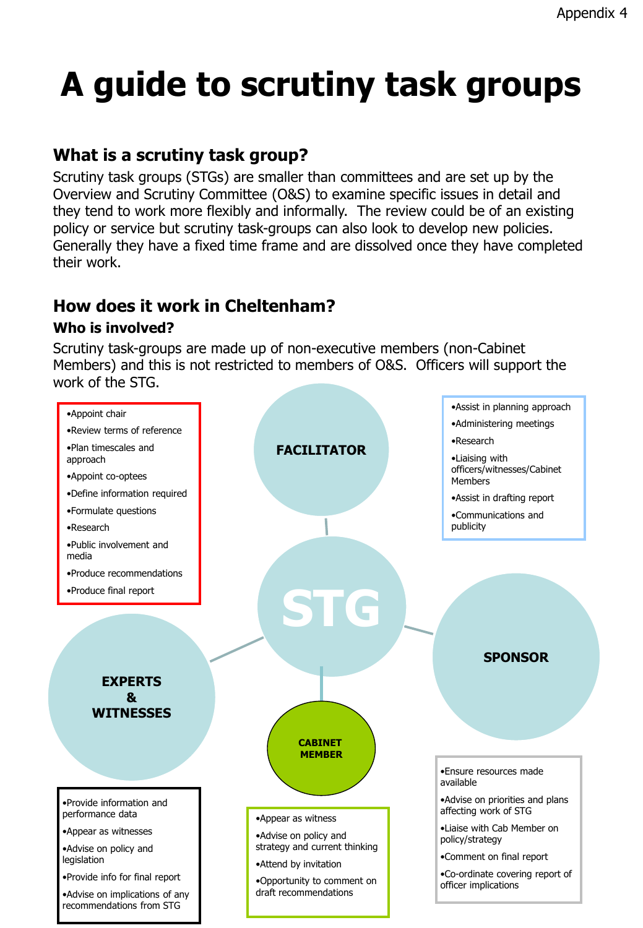# **A guide to scrutiny task groups**

### **What is a scrutiny task group?**

Scrutiny task groups (STGs) are smaller than committees and are set up by the Overview and Scrutiny Committee (O&S) to examine specific issues in detail and they tend to work more flexibly and informally. The review could be of an existing policy or service but scrutiny task-groups can also look to develop new policies. Generally they have a fixed time frame and are dissolved once they have completed their work.

## **How does it work in Cheltenham?**

#### **Who is involved?**

Scrutiny task-groups are made up of non-executive members (non-Cabinet Members) and this is not restricted to members of O&S. Officers will support the work of the STG.

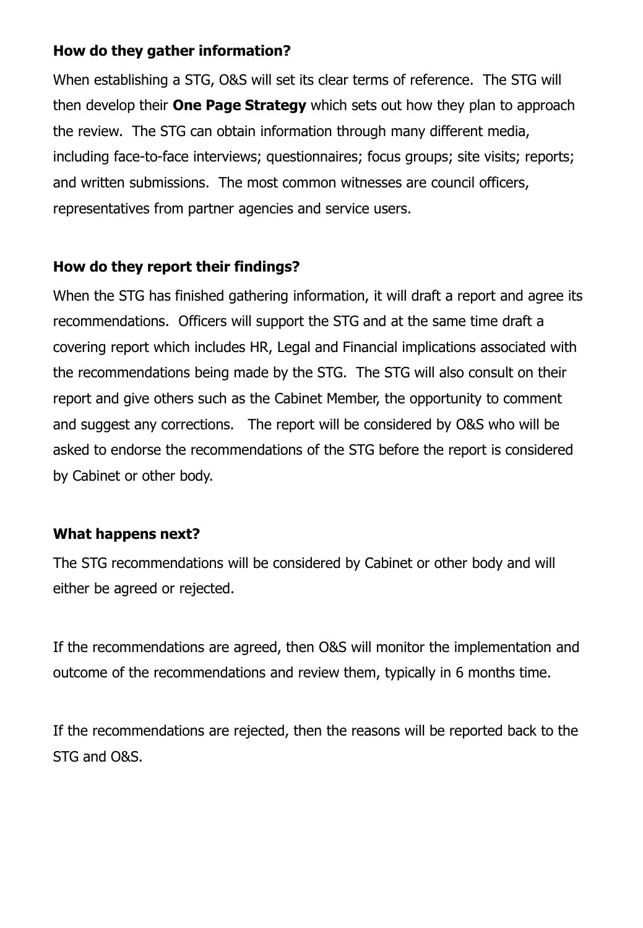#### **How do they gather information?**

When establishing a STG, O&S will set its clear terms of reference. The STG will then develop their **One Page Strategy** which sets out how they plan to approach the review. The STG can obtain information through many different media, including face-to-face interviews; questionnaires; focus groups; site visits; reports; and written submissions. The most common witnesses are council officers, representatives from partner agencies and service users.

#### **How do they report their findings?**

When the STG has finished gathering information, it will draft a report and agree its recommendations. Officers will support the STG and at the same time draft a covering report which includes HR, Legal and Financial implications associated with the recommendations being made by the STG. The STG will also consult on their report and give others such as the Cabinet Member, the opportunity to comment and suggest any corrections. The report will be considered by O&S who will be asked to endorse the recommendations of the STG before the report is considered by Cabinet or other body.

#### **What happens next?**

The STG recommendations will be considered by Cabinet or other body and will either be agreed or rejected.

If the recommendations are agreed, then O&S will monitor the implementation and outcome of the recommendations and review them, typically in 6 months time.

If the recommendations are rejected, then the reasons will be reported back to the STG and O&S.